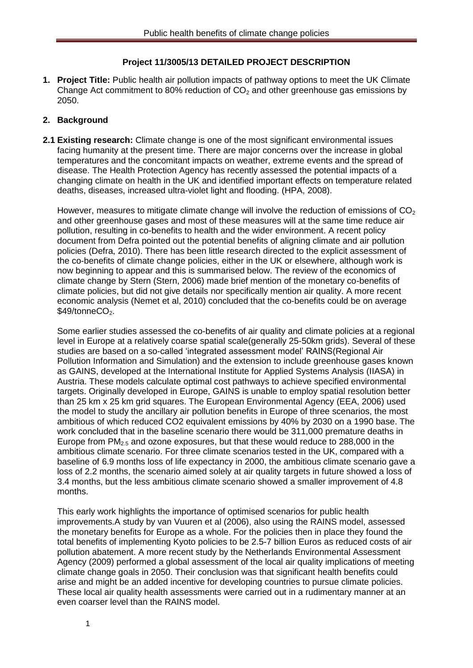#### **Project 11/3005/13 DETAILED PROJECT DESCRIPTION**

**1. Project Title:** Public health air pollution impacts of pathway options to meet the UK Climate Change Act commitment to 80% reduction of  $CO<sub>2</sub>$  and other greenhouse gas emissions by 2050.

### **2. Background**

**2.1 Existing research:** Climate change is one of the most significant environmental issues facing humanity at the present time. There are major concerns over the increase in global temperatures and the concomitant impacts on weather, extreme events and the spread of disease. The Health Protection Agency has recently assessed the potential impacts of a changing climate on health in the UK and identified important effects on temperature related deaths, diseases, increased ultra-violet light and flooding. (HPA, 2008).

However, measures to mitigate climate change will involve the reduction of emissions of  $CO<sub>2</sub>$ and other greenhouse gases and most of these measures will at the same time reduce air pollution, resulting in co-benefits to health and the wider environment. A recent policy document from Defra pointed out the potential benefits of aligning climate and air pollution policies (Defra, 2010). There has been little research directed to the explicit assessment of the co-benefits of climate change policies, either in the UK or elsewhere, although work is now beginning to appear and this is summarised below. The review of the economics of climate change by Stern (Stern, 2006) made brief mention of the monetary co-benefits of climate policies, but did not give details nor specifically mention air quality. A more recent economic analysis (Nemet et al, 2010) concluded that the co-benefits could be on average \$49/tonneCO<sub>2</sub>.

Some earlier studies assessed the co-benefits of air quality and climate policies at a regional level in Europe at a relatively coarse spatial scale(generally 25-50km grids). Several of these studies are based on a so-called 'integrated assessment model' RAINS(Regional Air Pollution Information and Simulation) and the extension to include greenhouse gases known as GAINS, developed at the International Institute for Applied Systems Analysis (IIASA) in Austria. These models calculate optimal cost pathways to achieve specified environmental targets. Originally developed in Europe, GAINS is unable to employ spatial resolution better than 25 km x 25 km grid squares. The European Environmental Agency (EEA, 2006) used the model to study the ancillary air pollution benefits in Europe of three scenarios, the most ambitious of which reduced CO2 equivalent emissions by 40% by 2030 on a 1990 base. The work concluded that in the baseline scenario there would be 311,000 premature deaths in Europe from  $PM<sub>2.5</sub>$  and ozone exposures, but that these would reduce to 288,000 in the ambitious climate scenario. For three climate scenarios tested in the UK, compared with a baseline of 6.9 months loss of life expectancy in 2000, the ambitious climate scenario gave a loss of 2.2 months, the scenario aimed solely at air quality targets in future showed a loss of 3.4 months, but the less ambitious climate scenario showed a smaller improvement of 4.8 months.

This early work highlights the importance of optimised scenarios for public health improvements.A study by van Vuuren et al (2006), also using the RAINS model, assessed the monetary benefits for Europe as a whole. For the policies then in place they found the total benefits of implementing Kyoto policies to be 2.5-7 billion Euros as reduced costs of air pollution abatement. A more recent study by the Netherlands Environmental Assessment Agency (2009) performed a global assessment of the local air quality implications of meeting climate change goals in 2050. Their conclusion was that significant health benefits could arise and might be an added incentive for developing countries to pursue climate policies. These local air quality health assessments were carried out in a rudimentary manner at an even coarser level than the RAINS model.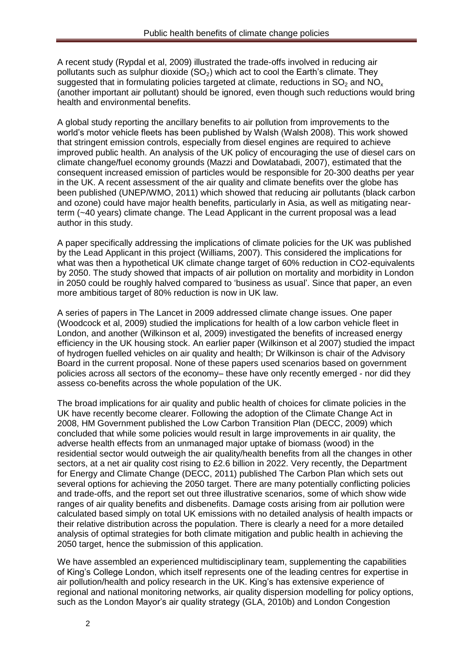A recent study (Rypdal et al, 2009) illustrated the trade-offs involved in reducing air pollutants such as sulphur dioxide  $(SO<sub>2</sub>)$  which act to cool the Earth's climate. They suggested that in formulating policies targeted at climate, reductions in  $SO_2$  and  $NO<sub>x</sub>$ (another important air pollutant) should be ignored, even though such reductions would bring health and environmental benefits.

A global study reporting the ancillary benefits to air pollution from improvements to the world's motor vehicle fleets has been published by Walsh (Walsh 2008). This work showed that stringent emission controls, especially from diesel engines are required to achieve improved public health. An analysis of the UK policy of encouraging the use of diesel cars on climate change/fuel economy grounds (Mazzi and Dowlatabadi, 2007), estimated that the consequent increased emission of particles would be responsible for 20-300 deaths per year in the UK. A recent assessment of the air quality and climate benefits over the globe has been published (UNEP/WMO, 2011) which showed that reducing air pollutants (black carbon and ozone) could have major health benefits, particularly in Asia, as well as mitigating nearterm (~40 years) climate change. The Lead Applicant in the current proposal was a lead author in this study.

A paper specifically addressing the implications of climate policies for the UK was published by the Lead Applicant in this project (Williams, 2007). This considered the implications for what was then a hypothetical UK climate change target of 60% reduction in CO2-equivalents by 2050. The study showed that impacts of air pollution on mortality and morbidity in London in 2050 could be roughly halved compared to 'business as usual'. Since that paper, an even more ambitious target of 80% reduction is now in UK law.

A series of papers in The Lancet in 2009 addressed climate change issues. One paper (Woodcock et al, 2009) studied the implications for health of a low carbon vehicle fleet in London, and another (Wilkinson et al, 2009) investigated the benefits of increased energy efficiency in the UK housing stock. An earlier paper (Wilkinson et al 2007) studied the impact of hydrogen fuelled vehicles on air quality and health; Dr Wilkinson is chair of the Advisory Board in the current proposal. None of these papers used scenarios based on government policies across all sectors of the economy– these have only recently emerged - nor did they assess co-benefits across the whole population of the UK.

The broad implications for air quality and public health of choices for climate policies in the UK have recently become clearer. Following the adoption of the Climate Change Act in 2008, HM Government published the Low Carbon Transition Plan (DECC, 2009) which concluded that while some policies would result in large improvements in air quality, the adverse health effects from an unmanaged major uptake of biomass (wood) in the residential sector would outweigh the air quality/health benefits from all the changes in other sectors, at a net air quality cost rising to £2.6 billion in 2022. Very recently, the Department for Energy and Climate Change (DECC, 2011) published The Carbon Plan which sets out several options for achieving the 2050 target. There are many potentially conflicting policies and trade-offs, and the report set out three illustrative scenarios, some of which show wide ranges of air quality benefits and disbenefits. Damage costs arising from air pollution were calculated based simply on total UK emissions with no detailed analysis of health impacts or their relative distribution across the population. There is clearly a need for a more detailed analysis of optimal strategies for both climate mitigation and public health in achieving the 2050 target, hence the submission of this application.

We have assembled an experienced multidisciplinary team, supplementing the capabilities of King's College London, which itself represents one of the leading centres for expertise in air pollution/health and policy research in the UK. King's has extensive experience of regional and national monitoring networks, air quality dispersion modelling for policy options, such as the London Mayor's air quality strategy (GLA, 2010b) and London Congestion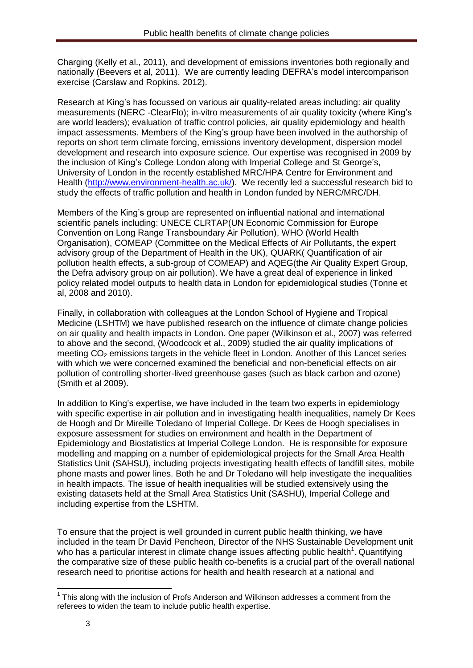Charging (Kelly et al., 2011), and development of emissions inventories both regionally and nationally (Beevers et al, 2011). We are currently leading DEFRA's model intercomparison exercise (Carslaw and Ropkins, 2012).

Research at King's has focussed on various air quality-related areas including: air quality measurements (NERC -ClearFlo); in-vitro measurements of air quality toxicity (where King's are world leaders); evaluation of traffic control policies, air quality epidemiology and health impact assessments. Members of the King's group have been involved in the authorship of reports on short term climate forcing, emissions inventory development, dispersion model development and research into exposure science. Our expertise was recognised in 2009 by the inclusion of King's College London along with Imperial College and St George's, University of London in the recently established MRC/HPA Centre for Environment and Health [\(http://www.environment-health.ac.uk/\)](http://www.environment-health.ac.uk/). We recently led a successful research bid to study the effects of traffic pollution and health in London funded by NERC/MRC/DH.

Members of the King's group are represented on influential national and international scientific panels including: UNECE CLRTAP(UN Economic Commission for Europe Convention on Long Range Transboundary Air Pollution), WHO (World Health Organisation), COMEAP (Committee on the Medical Effects of Air Pollutants, the expert advisory group of the Department of Health in the UK), QUARK( Quantification of air pollution health effects, a sub-group of COMEAP) and AQEG(the Air Quality Expert Group, the Defra advisory group on air pollution). We have a great deal of experience in linked policy related model outputs to health data in London for epidemiological studies (Tonne et al, 2008 and 2010).

Finally, in collaboration with colleagues at the London School of Hygiene and Tropical Medicine (LSHTM) we have published research on the influence of climate change policies on air quality and health impacts in London. One paper (Wilkinson et al., 2007) was referred to above and the second, (Woodcock et al., 2009) studied the air quality implications of meeting  $CO<sub>2</sub>$  emissions targets in the vehicle fleet in London. Another of this Lancet series with which we were concerned examined the beneficial and non-beneficial effects on air pollution of controlling shorter-lived greenhouse gases (such as black carbon and ozone) (Smith et al 2009).

In addition to King's expertise, we have included in the team two experts in epidemiology with specific expertise in air pollution and in investigating health inequalities, namely Dr Kees de Hoogh and Dr Mireille Toledano of Imperial College. Dr Kees de Hoogh specialises in exposure assessment for studies on environment and health in the Department of Epidemiology and Biostatistics at Imperial College London. He is responsible for exposure modelling and mapping on a number of epidemiological projects for the Small Area Health Statistics Unit (SAHSU), including projects investigating health effects of landfill sites, mobile phone masts and power lines. Both he and Dr Toledano will help investigate the inequalities in health impacts. The issue of health inequalities will be studied extensively using the existing datasets held at the Small Area Statistics Unit (SASHU), Imperial College and including expertise from the LSHTM.

To ensure that the project is well grounded in current public health thinking, we have included in the team Dr David Pencheon, Director of the NHS Sustainable Development unit who has a particular interest in climate change issues affecting public health<sup>1</sup>. Quantifying the comparative size of these public health co-benefits is a crucial part of the overall national research need to prioritise actions for health and health research at a national and

**.** 

<sup>&</sup>lt;sup>1</sup> This along with the inclusion of Profs Anderson and Wilkinson addresses a comment from the referees to widen the team to include public health expertise.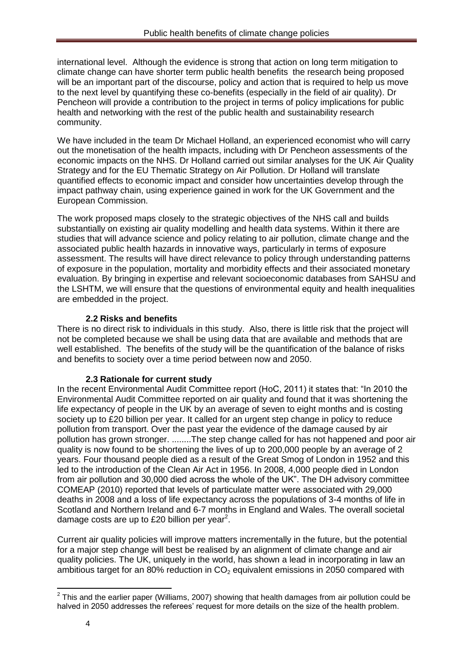international level. Although the evidence is strong that action on long term mitigation to climate change can have shorter term public health benefits the research being proposed will be an important part of the discourse, policy and action that is required to help us move to the next level by quantifying these co-benefits (especially in the field of air quality). Dr Pencheon will provide a contribution to the project in terms of policy implications for public health and networking with the rest of the public health and sustainability research community.

We have included in the team Dr Michael Holland, an experienced economist who will carry out the monetisation of the health impacts, including with Dr Pencheon assessments of the economic impacts on the NHS. Dr Holland carried out similar analyses for the UK Air Quality Strategy and for the EU Thematic Strategy on Air Pollution. Dr Holland will translate quantified effects to economic impact and consider how uncertainties develop through the impact pathway chain, using experience gained in work for the UK Government and the European Commission.

The work proposed maps closely to the strategic objectives of the NHS call and builds substantially on existing air quality modelling and health data systems. Within it there are studies that will advance science and policy relating to air pollution, climate change and the associated public health hazards in innovative ways, particularly in terms of exposure assessment. The results will have direct relevance to policy through understanding patterns of exposure in the population, mortality and morbidity effects and their associated monetary evaluation. By bringing in expertise and relevant socioeconomic databases from SAHSU and the LSHTM, we will ensure that the questions of environmental equity and health inequalities are embedded in the project.

## **2.2 Risks and benefits**

There is no direct risk to individuals in this study. Also, there is little risk that the project will not be completed because we shall be using data that are available and methods that are well established. The benefits of the study will be the quantification of the balance of risks and benefits to society over a time period between now and 2050.

## **2.3 Rationale for current study**

In the recent Environmental Audit Committee report (HoC, 2011) it states that: "In 2010 the Environmental Audit Committee reported on air quality and found that it was shortening the life expectancy of people in the UK by an average of seven to eight months and is costing society up to £20 billion per year. It called for an urgent step change in policy to reduce pollution from transport. Over the past year the evidence of the damage caused by air pollution has grown stronger. ........The step change called for has not happened and poor air quality is now found to be shortening the lives of up to 200,000 people by an average of 2 years. Four thousand people died as a result of the Great Smog of London in 1952 and this led to the introduction of the Clean Air Act in 1956. In 2008, 4,000 people died in London from air pollution and 30,000 died across the whole of the UK". The DH advisory committee COMEAP (2010) reported that levels of particulate matter were associated with 29,000 deaths in 2008 and a loss of life expectancy across the populations of 3-4 months of life in Scotland and Northern Ireland and 6-7 months in England and Wales. The overall societal damage costs are up to £20 billion per year<sup>2</sup>.

Current air quality policies will improve matters incrementally in the future, but the potential for a major step change will best be realised by an alignment of climate change and air quality policies. The UK, uniquely in the world, has shown a lead in incorporating in law an ambitious target for an 80% reduction in  $CO<sub>2</sub>$  equivalent emissions in 2050 compared with

 2 This and the earlier paper (Williams, 2007) showing that health damages from air pollution could be halved in 2050 addresses the referees' request for more details on the size of the health problem.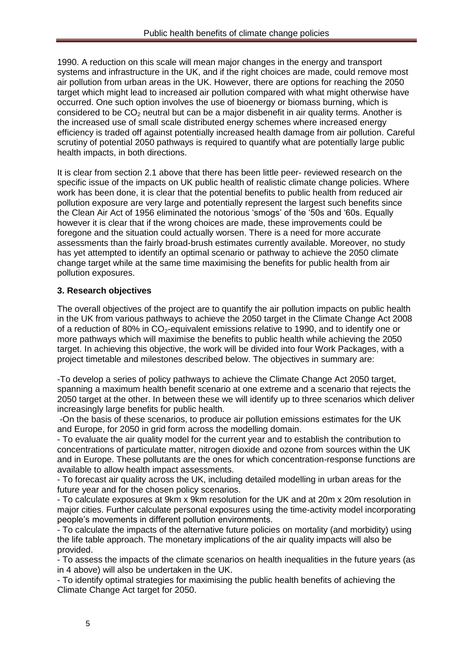1990. A reduction on this scale will mean major changes in the energy and transport systems and infrastructure in the UK, and if the right choices are made, could remove most air pollution from urban areas in the UK. However, there are options for reaching the 2050 target which might lead to increased air pollution compared with what might otherwise have occurred. One such option involves the use of bioenergy or biomass burning, which is considered to be  $CO<sub>2</sub>$  neutral but can be a major disbenefit in air quality terms. Another is the increased use of small scale distributed energy schemes where increased energy efficiency is traded off against potentially increased health damage from air pollution. Careful scrutiny of potential 2050 pathways is required to quantify what are potentially large public health impacts, in both directions.

It is clear from section 2.1 above that there has been little peer- reviewed research on the specific issue of the impacts on UK public health of realistic climate change policies. Where work has been done, it is clear that the potential benefits to public health from reduced air pollution exposure are very large and potentially represent the largest such benefits since the Clean Air Act of 1956 eliminated the notorious 'smogs' of the '50s and '60s. Equally however it is clear that if the wrong choices are made, these improvements could be foregone and the situation could actually worsen. There is a need for more accurate assessments than the fairly broad-brush estimates currently available. Moreover, no study has yet attempted to identify an optimal scenario or pathway to achieve the 2050 climate change target while at the same time maximising the benefits for public health from air pollution exposures.

# **3. Research objectives**

The overall objectives of the project are to quantify the air pollution impacts on public health in the UK from various pathways to achieve the 2050 target in the Climate Change Act 2008 of a reduction of 80% in  $CO<sub>2</sub>$ -equivalent emissions relative to 1990, and to identify one or more pathways which will maximise the benefits to public health while achieving the 2050 target. In achieving this objective, the work will be divided into four Work Packages, with a project timetable and milestones described below. The objectives in summary are:

-To develop a series of policy pathways to achieve the Climate Change Act 2050 target, spanning a maximum health benefit scenario at one extreme and a scenario that rejects the 2050 target at the other. In between these we will identify up to three scenarios which deliver increasingly large benefits for public health.

-On the basis of these scenarios, to produce air pollution emissions estimates for the UK and Europe, for 2050 in grid form across the modelling domain.

- To evaluate the air quality model for the current year and to establish the contribution to concentrations of particulate matter, nitrogen dioxide and ozone from sources within the UK and in Europe. These pollutants are the ones for which concentration-response functions are available to allow health impact assessments.

- To forecast air quality across the UK, including detailed modelling in urban areas for the future year and for the chosen policy scenarios.

- To calculate exposures at 9km x 9km resolution for the UK and at 20m x 20m resolution in major cities. Further calculate personal exposures using the time-activity model incorporating people's movements in different pollution environments.

- To calculate the impacts of the alternative future policies on mortality (and morbidity) using the life table approach. The monetary implications of the air quality impacts will also be provided.

- To assess the impacts of the climate scenarios on health inequalities in the future years (as in 4 above) will also be undertaken in the UK.

- To identify optimal strategies for maximising the public health benefits of achieving the Climate Change Act target for 2050.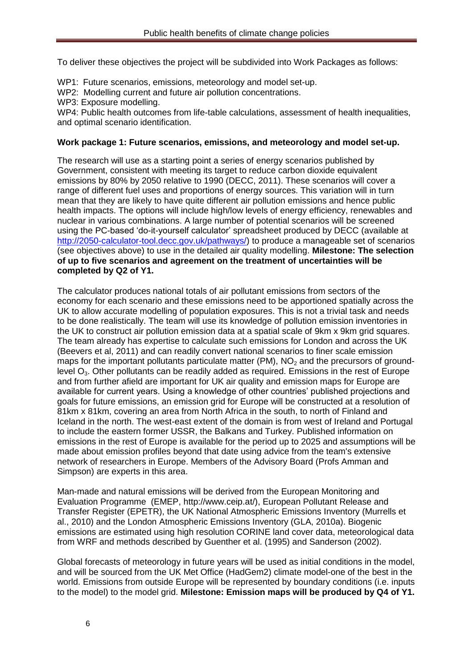To deliver these objectives the project will be subdivided into Work Packages as follows:

WP1: Future scenarios, emissions, meteorology and model set-up.

- WP2: Modelling current and future air pollution concentrations.
- WP3: Exposure modelling.

WP4: Public health outcomes from life-table calculations, assessment of health inequalities, and optimal scenario identification.

#### **Work package 1: Future scenarios, emissions, and meteorology and model set-up.**

The research will use as a starting point a series of energy scenarios published by Government, consistent with meeting its target to reduce carbon dioxide equivalent emissions by 80% by 2050 relative to 1990 (DECC, 2011). These scenarios will cover a range of different fuel uses and proportions of energy sources. This variation will in turn mean that they are likely to have quite different air pollution emissions and hence public health impacts. The options will include high/low levels of energy efficiency, renewables and nuclear in various combinations. A large number of potential scenarios will be screened using the PC-based 'do-it-yourself calculator' spreadsheet produced by DECC (available at [http://2050-calculator-tool.decc.gov.uk/pathways/\)](http://2050-calculator-tool.decc.gov.uk/pathways/) to produce a manageable set of scenarios (see objectives above) to use in the detailed air quality modelling. **Milestone: The selection of up to five scenarios and agreement on the treatment of uncertainties will be completed by Q2 of Y1.**

The calculator produces national totals of air pollutant emissions from sectors of the economy for each scenario and these emissions need to be apportioned spatially across the UK to allow accurate modelling of population exposures. This is not a trivial task and needs to be done realistically. The team will use its knowledge of pollution emission inventories in the UK to construct air pollution emission data at a spatial scale of 9km x 9km grid squares. The team already has expertise to calculate such emissions for London and across the UK (Beevers et al, 2011) and can readily convert national scenarios to finer scale emission maps for the important pollutants particulate matter (PM),  $NO<sub>2</sub>$  and the precursors of groundlevel  $O<sub>3</sub>$ . Other pollutants can be readily added as required. Emissions in the rest of Europe and from further afield are important for UK air quality and emission maps for Europe are available for current years. Using a knowledge of other countries' published projections and goals for future emissions, an emission grid for Europe will be constructed at a resolution of 81km x 81km, covering an area from North Africa in the south, to north of Finland and Iceland in the north. The west-east extent of the domain is from west of Ireland and Portugal to include the eastern former USSR, the Balkans and Turkey. Published information on emissions in the rest of Europe is available for the period up to 2025 and assumptions will be made about emission profiles beyond that date using advice from the team's extensive network of researchers in Europe. Members of the Advisory Board (Profs Amman and Simpson) are experts in this area.

Man-made and natural emissions will be derived from the European Monitoring and Evaluation Programme (EMEP, http://www.ceip.at/), European Pollutant Release and Transfer Register (EPETR), the UK National Atmospheric Emissions Inventory (Murrells et al., 2010) and the London Atmospheric Emissions Inventory (GLA, 2010a). Biogenic emissions are estimated using high resolution CORINE land cover data, meteorological data from WRF and methods described by Guenther et al. (1995) and Sanderson (2002).

Global forecasts of meteorology in future years will be used as initial conditions in the model, and will be sourced from the UK Met Office (HadGem2) climate model-one of the best in the world. Emissions from outside Europe will be represented by boundary conditions (i.e. inputs to the model) to the model grid. **Milestone: Emission maps will be produced by Q4 of Y1.**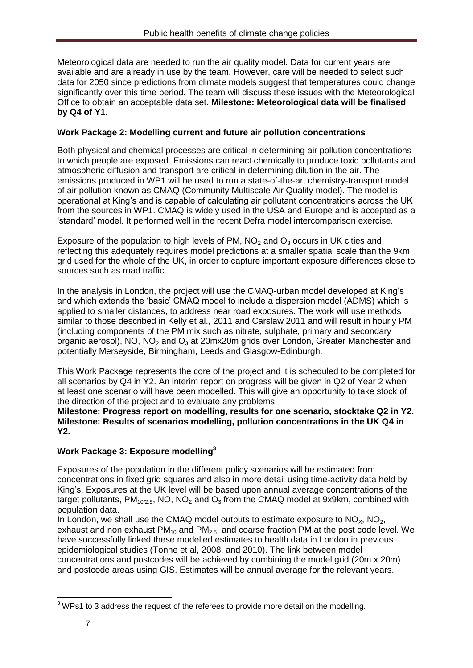Meteorological data are needed to run the air quality model. Data for current years are available and are already in use by the team. However, care will be needed to select such data for 2050 since predictions from climate models suggest that temperatures could change significantly over this time period. The team will discuss these issues with the Meteorological Office to obtain an acceptable data set. **Milestone: Meteorological data will be finalised by Q4 of Y1.**

## **Work Package 2: Modelling current and future air pollution concentrations**

Both physical and chemical processes are critical in determining air pollution concentrations to which people are exposed. Emissions can react chemically to produce toxic pollutants and atmospheric diffusion and transport are critical in determining dilution in the air. The emissions produced in WP1 will be used to run a state-of-the-art chemistry-transport model of air pollution known as CMAQ (Community Multiscale Air Quality model). The model is operational at King's and is capable of calculating air pollutant concentrations across the UK from the sources in WP1. CMAQ is widely used in the USA and Europe and is accepted as a 'standard' model. It performed well in the recent Defra model intercomparison exercise.

Exposure of the population to high levels of PM,  $NO<sub>2</sub>$  and  $O<sub>3</sub>$  occurs in UK cities and reflecting this adequately requires model predictions at a smaller spatial scale than the 9km grid used for the whole of the UK, in order to capture important exposure differences close to sources such as road traffic.

In the analysis in London, the project will use the CMAQ-urban model developed at King's and which extends the 'basic' CMAQ model to include a dispersion model (ADMS) which is applied to smaller distances, to address near road exposures. The work will use methods similar to those described in Kelly et al., 2011 and Carslaw 2011 and will result in hourly PM (including components of the PM mix such as nitrate, sulphate, primary and secondary organic aerosol), NO, NO<sub>2</sub> and O<sub>3</sub> at 20mx20m grids over London, Greater Manchester and potentially Merseyside, Birmingham, Leeds and Glasgow-Edinburgh.

This Work Package represents the core of the project and it is scheduled to be completed for all scenarios by Q4 in Y2. An interim report on progress will be given in Q2 of Year 2 when at least one scenario will have been modelled. This will give an opportunity to take stock of the direction of the project and to evaluate any problems.

**Milestone: Progress report on modelling, results for one scenario, stocktake Q2 in Y2. Milestone: Results of scenarios modelling, pollution concentrations in the UK Q4 in Y2.**

# **Work Package 3: Exposure modelling<sup>3</sup>**

Exposures of the population in the different policy scenarios will be estimated from concentrations in fixed grid squares and also in more detail using time-activity data held by King's. Exposures at the UK level will be based upon annual average concentrations of the target pollutants,  $PM_{10/2.5}$ , NO, NO<sub>2</sub> and O<sub>3</sub> from the CMAQ model at 9x9km, combined with population data.

In London, we shall use the CMAQ model outputs to estimate exposure to  $NO<sub>x</sub>$ ,  $NO<sub>2</sub>$ , exhaust and non exhaust  $PM_{10}$  and  $PM_{2.5}$ , and coarse fraction PM at the post code level. We have successfully linked these modelled estimates to health data in London in previous epidemiological studies (Tonne et al, 2008, and 2010). The link between model concentrations and postcodes will be achieved by combining the model grid (20m x 20m) and postcode areas using GIS. Estimates will be annual average for the relevant years.

**<sup>.</sup>**  $3$  WPs1 to 3 address the request of the referees to provide more detail on the modelling.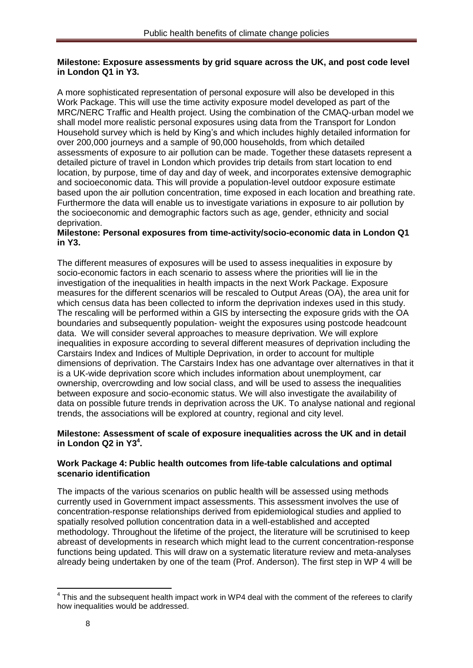#### **Milestone: Exposure assessments by grid square across the UK, and post code level in London Q1 in Y3.**

A more sophisticated representation of personal exposure will also be developed in this Work Package. This will use the time activity exposure model developed as part of the MRC/NERC Traffic and Health project. Using the combination of the CMAQ-urban model we shall model more realistic personal exposures using data from the Transport for London Household survey which is held by King's and which includes highly detailed information for over 200,000 journeys and a sample of 90,000 households, from which detailed assessments of exposure to air pollution can be made. Together these datasets represent a detailed picture of travel in London which provides trip details from start location to end location, by purpose, time of day and day of week, and incorporates extensive demographic and socioeconomic data. This will provide a population-level outdoor exposure estimate based upon the air pollution concentration, time exposed in each location and breathing rate. Furthermore the data will enable us to investigate variations in exposure to air pollution by the socioeconomic and demographic factors such as age, gender, ethnicity and social deprivation.

### **Milestone: Personal exposures from time-activity/socio-economic data in London Q1 in Y3.**

The different measures of exposures will be used to assess inequalities in exposure by socio-economic factors in each scenario to assess where the priorities will lie in the investigation of the inequalities in health impacts in the next Work Package. Exposure measures for the different scenarios will be rescaled to Output Areas (OA), the area unit for which census data has been collected to inform the deprivation indexes used in this study. The rescaling will be performed within a GIS by intersecting the exposure grids with the OA boundaries and subsequently population- weight the exposures using postcode headcount data. We will consider several approaches to measure deprivation. We will explore inequalities in exposure according to several different measures of deprivation including the Carstairs Index and Indices of Multiple Deprivation, in order to account for multiple dimensions of deprivation. The Carstairs Index has one advantage over alternatives in that it is a UK-wide deprivation score which includes information about unemployment, car ownership, overcrowding and low social class, and will be used to assess the inequalities between exposure and socio-economic status. We will also investigate the availability of data on possible future trends in deprivation across the UK. To analyse national and regional trends, the associations will be explored at country, regional and city level.

### **Milestone: Assessment of scale of exposure inequalities across the UK and in detail in London Q2 in Y3<sup>4</sup> .**

### **Work Package 4: Public health outcomes from life-table calculations and optimal scenario identification**

The impacts of the various scenarios on public health will be assessed using methods currently used in Government impact assessments. This assessment involves the use of concentration-response relationships derived from epidemiological studies and applied to spatially resolved pollution concentration data in a well-established and accepted methodology. Throughout the lifetime of the project, the literature will be scrutinised to keep abreast of developments in research which might lead to the current concentration-response functions being updated. This will draw on a systematic literature review and meta-analyses already being undertaken by one of the team (Prof. Anderson). The first step in WP 4 will be

<sup>————————————————————&</sup>lt;br><sup>4</sup> This and the subsequent health impact work in WP4 deal with the comment of the referees to clarify how inequalities would be addressed.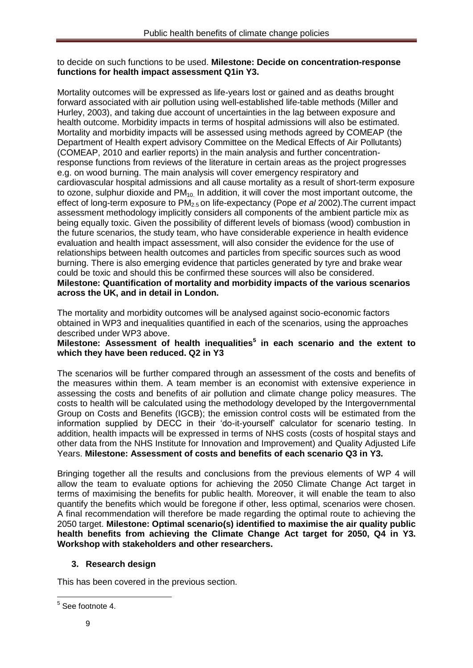#### to decide on such functions to be used. **Milestone: Decide on concentration-response functions for health impact assessment Q1in Y3.**

Mortality outcomes will be expressed as life-years lost or gained and as deaths brought forward associated with air pollution using well-established life-table methods (Miller and Hurley, 2003), and taking due account of uncertainties in the lag between exposure and health outcome. Morbidity impacts in terms of hospital admissions will also be estimated. Mortality and morbidity impacts will be assessed using methods agreed by COMEAP (the Department of Health expert advisory Committee on the Medical Effects of Air Pollutants) (COMEAP, 2010 and earlier reports) in the main analysis and further concentrationresponse functions from reviews of the literature in certain areas as the project progresses e.g. on wood burning. The main analysis will cover emergency respiratory and cardiovascular hospital admissions and all cause mortality as a result of short-term exposure to ozone, sulphur dioxide and  $PM_{10}$  In addition, it will cover the most important outcome, the effect of long-term exposure to PM2.5 on life-expectancy (Pope *et al* 2002).The current impact assessment methodology implicitly considers all components of the ambient particle mix as being equally toxic. Given the possibility of different levels of biomass (wood) combustion in the future scenarios, the study team, who have considerable experience in health evidence evaluation and health impact assessment, will also consider the evidence for the use of relationships between health outcomes and particles from specific sources such as wood burning. There is also emerging evidence that particles generated by tyre and brake wear could be toxic and should this be confirmed these sources will also be considered. **Milestone: Quantification of mortality and morbidity impacts of the various scenarios across the UK, and in detail in London.**

The mortality and morbidity outcomes will be analysed against socio-economic factors obtained in WP3 and inequalities quantified in each of the scenarios, using the approaches described under WP3 above.

### **Milestone: Assessment of health inequalities<sup>5</sup> in each scenario and the extent to which they have been reduced. Q2 in Y3**

The scenarios will be further compared through an assessment of the costs and benefits of the measures within them. A team member is an economist with extensive experience in assessing the costs and benefits of air pollution and climate change policy measures. The costs to health will be calculated using the methodology developed by the Intergovernmental Group on Costs and Benefits (IGCB); the emission control costs will be estimated from the information supplied by DECC in their 'do-it-yourself' calculator for scenario testing. In addition, health impacts will be expressed in terms of NHS costs (costs of hospital stays and other data from the NHS Institute for Innovation and Improvement) and Quality Adjusted Life Years. **Milestone: Assessment of costs and benefits of each scenario Q3 in Y3.**

Bringing together all the results and conclusions from the previous elements of WP 4 will allow the team to evaluate options for achieving the 2050 Climate Change Act target in terms of maximising the benefits for public health. Moreover, it will enable the team to also quantify the benefits which would be foregone if other, less optimal, scenarios were chosen. A final recommendation will therefore be made regarding the optimal route to achieving the 2050 target. **Milestone: Optimal scenario(s) identified to maximise the air quality public health benefits from achieving the Climate Change Act target for 2050, Q4 in Y3. Workshop with stakeholders and other researchers.**

## **3. Research design**

This has been covered in the previous section.

**<sup>.</sup>** <sup>5</sup> See footnote 4.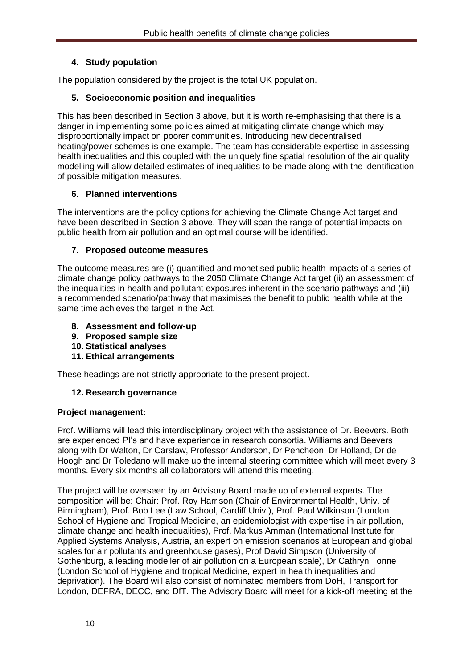## **4. Study population**

The population considered by the project is the total UK population.

## **5. Socioeconomic position and inequalities**

This has been described in Section 3 above, but it is worth re-emphasising that there is a danger in implementing some policies aimed at mitigating climate change which may disproportionally impact on poorer communities. Introducing new decentralised heating/power schemes is one example. The team has considerable expertise in assessing health inequalities and this coupled with the uniquely fine spatial resolution of the air quality modelling will allow detailed estimates of inequalities to be made along with the identification of possible mitigation measures.

### **6. Planned interventions**

The interventions are the policy options for achieving the Climate Change Act target and have been described in Section 3 above. They will span the range of potential impacts on public health from air pollution and an optimal course will be identified.

### **7. Proposed outcome measures**

The outcome measures are (i) quantified and monetised public health impacts of a series of climate change policy pathways to the 2050 Climate Change Act target (ii) an assessment of the inequalities in health and pollutant exposures inherent in the scenario pathways and (iii) a recommended scenario/pathway that maximises the benefit to public health while at the same time achieves the target in the Act.

- **8. Assessment and follow-up**
- **9. Proposed sample size**
- **10. Statistical analyses**
- **11. Ethical arrangements**

These headings are not strictly appropriate to the present project.

### **12. Research governance**

### **Project management:**

Prof. Williams will lead this interdisciplinary project with the assistance of Dr. Beevers. Both are experienced PI's and have experience in research consortia. Williams and Beevers along with Dr Walton, Dr Carslaw, Professor Anderson, Dr Pencheon, Dr Holland, Dr de Hoogh and Dr Toledano will make up the internal steering committee which will meet every 3 months. Every six months all collaborators will attend this meeting.

The project will be overseen by an Advisory Board made up of external experts. The composition will be: Chair: Prof. Roy Harrison (Chair of Environmental Health, Univ. of Birmingham), Prof. Bob Lee (Law School, Cardiff Univ.), Prof. Paul Wilkinson (London School of Hygiene and Tropical Medicine, an epidemiologist with expertise in air pollution, climate change and health inequalities), Prof. Markus Amman (International Institute for Applied Systems Analysis, Austria, an expert on emission scenarios at European and global scales for air pollutants and greenhouse gases), Prof David Simpson (University of Gothenburg, a leading modeller of air pollution on a European scale), Dr Cathryn Tonne (London School of Hygiene and tropical Medicine, expert in health inequalities and deprivation). The Board will also consist of nominated members from DoH, Transport for London, DEFRA, DECC, and DfT. The Advisory Board will meet for a kick-off meeting at the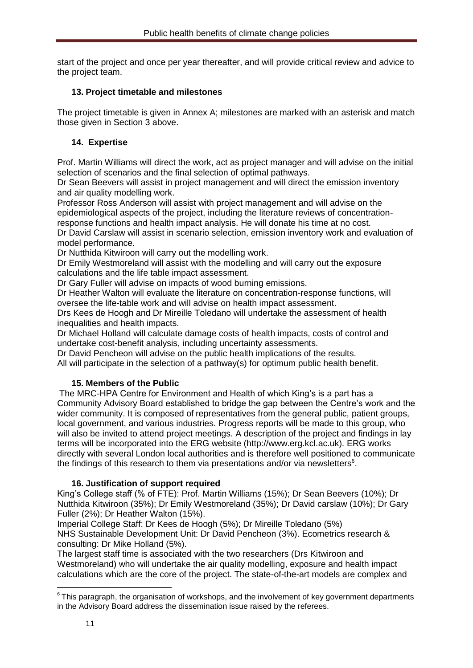start of the project and once per year thereafter, and will provide critical review and advice to the project team.

### **13. Project timetable and milestones**

The project timetable is given in Annex A; milestones are marked with an asterisk and match those given in Section 3 above.

## **14. Expertise**

Prof. Martin Williams will direct the work, act as project manager and will advise on the initial selection of scenarios and the final selection of optimal pathways.

Dr Sean Beevers will assist in project management and will direct the emission inventory and air quality modelling work.

Professor Ross Anderson will assist with project management and will advise on the epidemiological aspects of the project, including the literature reviews of concentrationresponse functions and health impact analysis. He will donate his time at no cost.

Dr David Carslaw will assist in scenario selection, emission inventory work and evaluation of model performance.

Dr Nutthida Kitwiroon will carry out the modelling work.

Dr Emily Westmoreland will assist with the modelling and will carry out the exposure calculations and the life table impact assessment.

Dr Gary Fuller will advise on impacts of wood burning emissions.

Dr Heather Walton will evaluate the literature on concentration-response functions, will oversee the life-table work and will advise on health impact assessment.

Drs Kees de Hoogh and Dr Mireille Toledano will undertake the assessment of health inequalities and health impacts.

Dr Michael Holland will calculate damage costs of health impacts, costs of control and undertake cost-benefit analysis, including uncertainty assessments.

Dr David Pencheon will advise on the public health implications of the results.

All will participate in the selection of a pathway(s) for optimum public health benefit.

### **15. Members of the Public**

The MRC-HPA Centre for Environment and Health of which King's is a part has a Community Advisory Board established to bridge the gap between the Centre's work and the wider community. It is composed of representatives from the general public, patient groups, local government, and various industries. Progress reports will be made to this group, who will also be invited to attend project meetings. A description of the project and findings in lay terms will be incorporated into the ERG website (http://www.erg.kcl.ac.uk). ERG works directly with several London local authorities and is therefore well positioned to communicate the findings of this research to them via presentations and/or via newsletters $6$ .

### **16. Justification of support required**

King's College staff (% of FTE): Prof. Martin Williams (15%); Dr Sean Beevers (10%); Dr Nutthida Kitwiroon (35%); Dr Emily Westmoreland (35%); Dr David carslaw (10%); Dr Gary Fuller (2%); Dr Heather Walton (15%).

Imperial College Staff: Dr Kees de Hoogh (5%); Dr Mireille Toledano (5%) NHS Sustainable Development Unit: Dr David Pencheon (3%). Ecometrics research & consulting: Dr Mike Holland (5%).

The largest staff time is associated with the two researchers (Drs Kitwiroon and Westmoreland) who will undertake the air quality modelling, exposure and health impact calculations which are the core of the project. The state-of-the-art models are complex and

**.** 

 $6$ This paragraph, the organisation of workshops, and the involvement of key government departments in the Advisory Board address the dissemination issue raised by the referees.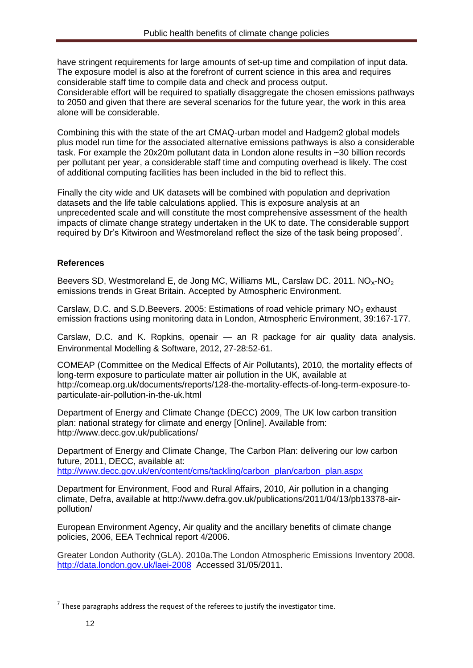have stringent requirements for large amounts of set-up time and compilation of input data. The exposure model is also at the forefront of current science in this area and requires considerable staff time to compile data and check and process output. Considerable effort will be required to spatially disaggregate the chosen emissions pathways to 2050 and given that there are several scenarios for the future year, the work in this area alone will be considerable.

Combining this with the state of the art CMAQ-urban model and Hadgem2 global models plus model run time for the associated alternative emissions pathways is also a considerable task. For example the 20x20m pollutant data in London alone results in ~30 billion records per pollutant per year, a considerable staff time and computing overhead is likely. The cost of additional computing facilities has been included in the bid to reflect this.

Finally the city wide and UK datasets will be combined with population and deprivation datasets and the life table calculations applied. This is exposure analysis at an unprecedented scale and will constitute the most comprehensive assessment of the health impacts of climate change strategy undertaken in the UK to date. The considerable support required by Dr's Kitwiroon and Westmoreland reflect the size of the task being proposed<sup>7</sup>.

## **References**

Beevers SD, Westmoreland E, de Jong MC, Williams ML, Carslaw DC. 2011.  $NO<sub>x</sub>-NO<sub>2</sub>$ emissions trends in Great Britain. Accepted by Atmospheric Environment.

Carslaw, D.C. and S.D.Beevers. 2005: Estimations of road vehicle primary  $NO<sub>2</sub>$  exhaust emission fractions using monitoring data in London, Atmospheric Environment, 39:167-177.

Carslaw, D.C. and K. Ropkins, openair — an R package for air quality data analysis. Environmental Modelling & Software, 2012, 27-28:52-61.

COMEAP (Committee on the Medical Effects of Air Pollutants), 2010, the mortality effects of long-term exposure to particulate matter air pollution in the UK, available at http://comeap.org.uk/documents/reports/128-the-mortality-effects-of-long-term-exposure-toparticulate-air-pollution-in-the-uk.html

Department of Energy and Climate Change (DECC) 2009, The UK low carbon transition plan: national strategy for climate and energy [Online]. Available from: http://www.decc.gov.uk/publications/

Department of Energy and Climate Change, The Carbon Plan: delivering our low carbon future, 2011, DECC, available at: [http://www.decc.gov.uk/en/content/cms/tackling/carbon\\_plan/carbon\\_plan.aspx](http://www.decc.gov.uk/en/content/cms/tackling/carbon_plan/carbon_plan.aspx)

Department for Environment, Food and Rural Affairs, 2010, Air pollution in a changing climate, Defra, available at http://www.defra.gov.uk/publications/2011/04/13/pb13378-airpollution/

European Environment Agency, Air quality and the ancillary benefits of climate change policies, 2006, EEA Technical report 4/2006.

Greater London Authority (GLA). 2010a.The London Atmospheric Emissions Inventory 2008. <http://data.london.gov.uk/laei-2008> Accessed 31/05/2011.

**.** 

 $^7$  These paragraphs address the request of the referees to justify the investigator time.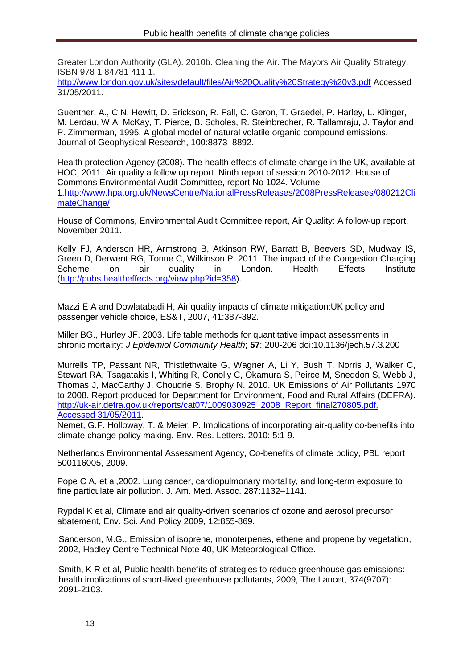Greater London Authority (GLA). 2010b. Cleaning the Air. The Mayors Air Quality Strategy. ISBN 978 1 84781 411 1.

<http://www.london.gov.uk/sites/default/files/Air%20Quality%20Strategy%20v3.pdf> Accessed 31/05/2011.

Guenther, A., C.N. Hewitt, D. Erickson, R. Fall, C. Geron, T. Graedel, P. Harley, L. Klinger, M. Lerdau, W.A. McKay, T. Pierce, B. Scholes, R. Steinbrecher, R. Tallamraju, J. Taylor and P. Zimmerman, 1995. A global model of natural volatile organic compound emissions. Journal of Geophysical Research, 100:8873–8892.

Health protection Agency (2008). The health effects of climate change in the UK, available at HOC, 2011. Air quality a follow up report. Ninth report of session 2010-2012. House of Commons Environmental Audit Committee, report No 1024. Volume 1[.http://www.hpa.org.uk/NewsCentre/NationalPressReleases/2008PressReleases/080212Cli](http://www.hpa.org.uk/NewsCentre/NationalPressReleases/2008PressReleases/080212ClimateChange/) [mateChange/](http://www.hpa.org.uk/NewsCentre/NationalPressReleases/2008PressReleases/080212ClimateChange/)

House of Commons, Environmental Audit Committee report, Air Quality: A follow-up report, November 2011.

Kelly FJ, Anderson HR, Armstrong B, Atkinson RW, Barratt B, Beevers SD, Mudway IS, Green D, Derwent RG, Tonne C, Wilkinson P. 2011. The impact of the Congestion Charging Scheme on air quality in London. Health Effects Institute [\(http://pubs.healtheffects.org/view.php?id=358\)](http://pubs.healtheffects.org/view.php?id=358).

Mazzi E A and Dowlatabadi H, Air quality impacts of climate mitigation:UK policy and passenger vehicle choice, ES&T, 2007, 41:387-392.

Miller BG., Hurley JF. 2003. Life table methods for quantitative impact assessments in chronic mortality: *J Epidemiol Community Health*; **57**: 200-206 doi:10.1136/jech.57.3.200

Murrells TP, Passant NR, Thistlethwaite G, Wagner A, Li Y, Bush T, Norris J, Walker C, Stewart RA, Tsagatakis I, Whiting R, Conolly C, Okamura S, Peirce M, Sneddon S, Webb J, Thomas J, MacCarthy J, Choudrie S, Brophy N. 2010. UK Emissions of Air Pollutants 1970 to 2008. Report produced for Department for Environment, Food and Rural Affairs (DEFRA). http://uk-air.defra.gov.uk/reports/cat07/1009030925\_2008\_Report\_final270805.pdf. [Accessed 31/05/2011.](http://uk-air.defra.gov.uk/reports/cat07/1009030925_2008_Report_final270805.pdf.%20Accessed%2031/05/2011)

Nemet, G.F. Holloway, T. & Meier, P. Implications of incorporating air-quality co-benefits into climate change policy making. Env. Res. Letters. 2010: 5:1-9.

Netherlands Environmental Assessment Agency, Co-benefits of climate policy, PBL report 500116005, 2009.

Pope C A, et al,2002. Lung cancer, cardiopulmonary mortality, and long-term exposure to fine particulate air pollution. J. Am. Med. Assoc. 287:1132–1141.

Rypdal K et al, Climate and air quality-driven scenarios of ozone and aerosol precursor abatement, Env. Sci. And Policy 2009, 12:855-869.

Sanderson, M.G., Emission of isoprene, monoterpenes, ethene and propene by vegetation, 2002, Hadley Centre Technical Note 40, UK Meteorological Office.

Smith, K R et al, Public health benefits of strategies to reduce greenhouse gas emissions: health implications of short-lived greenhouse pollutants, 2009. The Lancet, 374(9707): 2091-2103.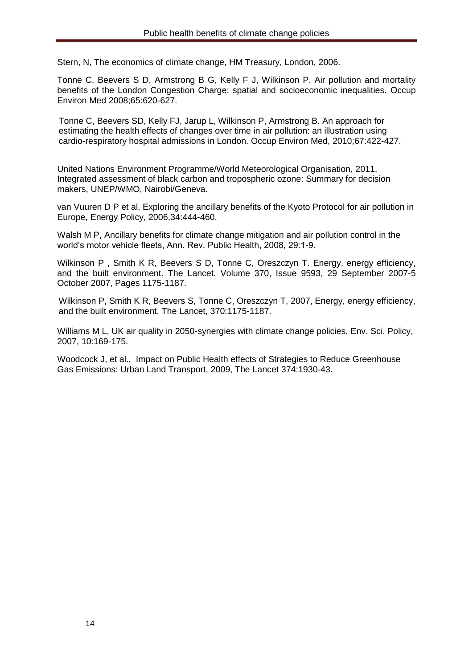Stern, N, The economics of climate change, HM Treasury, London, 2006.

Tonne C, Beevers S D, Armstrong B G, Kelly F J, Wilkinson P. Air pollution and mortality benefits of the London Congestion Charge: spatial and socioeconomic inequalities. Occup Environ Med 2008;65:620-627.

Tonne C, Beevers SD, Kelly FJ, Jarup L, Wilkinson P, Armstrong B. An approach for estimating the health effects of changes over time in air pollution: an illustration using cardio-respiratory hospital admissions in London. Occup Environ Med, 2010;67:422-427.

United Nations Environment Programme/World Meteorological Organisation, 2011, Integrated assessment of black carbon and tropospheric ozone: Summary for decision makers, UNEP/WMO, Nairobi/Geneva.

van Vuuren D P et al, Exploring the ancillary benefits of the Kyoto Protocol for air pollution in Europe, Energy Policy, 2006,34:444-460.

Walsh M P, Ancillary benefits for climate change mitigation and air pollution control in the world's motor vehicle fleets, Ann. Rev. Public Health, 2008, 29:1-9.

Wilkinson P, Smith K R, Beevers S D, Tonne C, Oreszczyn T. Energy, energy efficiency, and the built environment. The Lancet. Volume 370, Issue 9593, 29 September 2007-5 October 2007, Pages 1175-1187.

Wilkinson P, Smith K R, Beevers S, Tonne C, Oreszczyn T, 2007, Energy, energy efficiency, and the built environment, The Lancet, 370:1175-1187.

Williams M L, UK air quality in 2050-synergies with climate change policies, Env. Sci. Policy, 2007, 10:169-175.

Woodcock J, et al., Impact on Public Health effects of Strategies to Reduce Greenhouse Gas Emissions: Urban Land Transport, 2009, The Lancet 374:1930-43.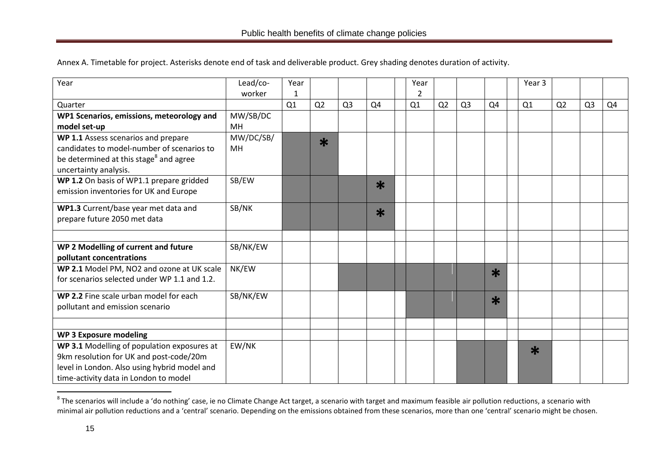Annex A. Timetable for project. Asterisks denote end of task and deliverable product. Grey shading denotes duration of activity.

| Year                                               | Lead/co-  | Year |                |                |        | Year           |                |                |        | Year 3 |                |                |    |
|----------------------------------------------------|-----------|------|----------------|----------------|--------|----------------|----------------|----------------|--------|--------|----------------|----------------|----|
|                                                    | worker    | 1    |                |                |        | $\overline{2}$ |                |                |        |        |                |                |    |
| Quarter                                            |           | Q1   | Q <sub>2</sub> | Q <sub>3</sub> | Q4     | Q1             | Q <sub>2</sub> | Q <sub>3</sub> | Q4     | Q1     | Q <sub>2</sub> | Q <sub>3</sub> | Q4 |
| WP1 Scenarios, emissions, meteorology and          | MW/SB/DC  |      |                |                |        |                |                |                |        |        |                |                |    |
| model set-up                                       | <b>MH</b> |      |                |                |        |                |                |                |        |        |                |                |    |
| WP 1.1 Assess scenarios and prepare                | MW/DC/SB/ |      | $\ast$         |                |        |                |                |                |        |        |                |                |    |
| candidates to model-number of scenarios to         | <b>MH</b> |      |                |                |        |                |                |                |        |        |                |                |    |
| be determined at this stage <sup>8</sup> and agree |           |      |                |                |        |                |                |                |        |        |                |                |    |
| uncertainty analysis.                              |           |      |                |                |        |                |                |                |        |        |                |                |    |
| WP 1.2 On basis of WP1.1 prepare gridded           | SB/EW     |      |                |                | $\ast$ |                |                |                |        |        |                |                |    |
| emission inventories for UK and Europe             |           |      |                |                |        |                |                |                |        |        |                |                |    |
| WP1.3 Current/base year met data and               | SB/NK     |      |                |                | $\ast$ |                |                |                |        |        |                |                |    |
| prepare future 2050 met data                       |           |      |                |                |        |                |                |                |        |        |                |                |    |
|                                                    |           |      |                |                |        |                |                |                |        |        |                |                |    |
| WP 2 Modelling of current and future               | SB/NK/EW  |      |                |                |        |                |                |                |        |        |                |                |    |
| pollutant concentrations                           |           |      |                |                |        |                |                |                |        |        |                |                |    |
| WP 2.1 Model PM, NO2 and ozone at UK scale         | NK/EW     |      |                |                |        |                |                |                | $\ast$ |        |                |                |    |
| for scenarios selected under WP 1.1 and 1.2.       |           |      |                |                |        |                |                |                |        |        |                |                |    |
| WP 2.2 Fine scale urban model for each             | SB/NK/EW  |      |                |                |        |                |                |                | $\ast$ |        |                |                |    |
| pollutant and emission scenario                    |           |      |                |                |        |                |                |                |        |        |                |                |    |
|                                                    |           |      |                |                |        |                |                |                |        |        |                |                |    |
| <b>WP 3 Exposure modeling</b>                      |           |      |                |                |        |                |                |                |        |        |                |                |    |
| WP 3.1 Modelling of population exposures at        | EW/NK     |      |                |                |        |                |                |                |        | $\ast$ |                |                |    |
| 9km resolution for UK and post-code/20m            |           |      |                |                |        |                |                |                |        |        |                |                |    |
| level in London. Also using hybrid model and       |           |      |                |                |        |                |                |                |        |        |                |                |    |
| time-activity data in London to model              |           |      |                |                |        |                |                |                |        |        |                |                |    |

<sup>&</sup>lt;u>and the scenarios will include a 'do nothing'</u> case, ie no Climate Change Act target, a scenario with target and maximum feasible air pollution reductions, a scenario with and the Scenario with example at the scenario wit minimal air pollution reductions and a 'central' scenario. Depending on the emissions obtained from these scenarios, more than one 'central' scenario might be chosen.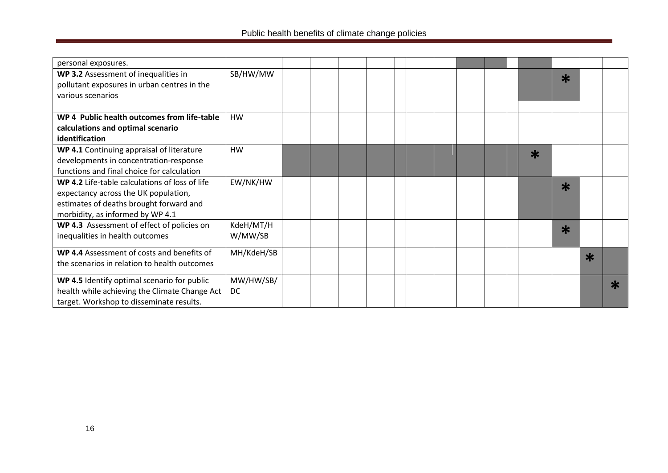| personal exposures.                            |            |  |  |  |  |  |        |        |        |        |
|------------------------------------------------|------------|--|--|--|--|--|--------|--------|--------|--------|
| WP 3.2 Assessment of inequalities in           | SB/HW/MW   |  |  |  |  |  |        | $\ast$ |        |        |
| pollutant exposures in urban centres in the    |            |  |  |  |  |  |        |        |        |        |
| various scenarios                              |            |  |  |  |  |  |        |        |        |        |
|                                                |            |  |  |  |  |  |        |        |        |        |
| WP 4 Public health outcomes from life-table    | <b>HW</b>  |  |  |  |  |  |        |        |        |        |
| calculations and optimal scenario              |            |  |  |  |  |  |        |        |        |        |
| identification                                 |            |  |  |  |  |  |        |        |        |        |
| WP 4.1 Continuing appraisal of literature      | <b>HW</b>  |  |  |  |  |  | $\ast$ |        |        |        |
| developments in concentration-response         |            |  |  |  |  |  |        |        |        |        |
| functions and final choice for calculation     |            |  |  |  |  |  |        |        |        |        |
| WP 4.2 Life-table calculations of loss of life | EW/NK/HW   |  |  |  |  |  |        | $\ast$ |        |        |
| expectancy across the UK population,           |            |  |  |  |  |  |        |        |        |        |
| estimates of deaths brought forward and        |            |  |  |  |  |  |        |        |        |        |
| morbidity, as informed by WP 4.1               |            |  |  |  |  |  |        |        |        |        |
| WP 4.3 Assessment of effect of policies on     | KdeH/MT/H  |  |  |  |  |  |        | $\ast$ |        |        |
| inequalities in health outcomes                | W/MW/SB    |  |  |  |  |  |        |        |        |        |
| WP 4.4 Assessment of costs and benefits of     | MH/KdeH/SB |  |  |  |  |  |        |        |        |        |
| the scenarios in relation to health outcomes   |            |  |  |  |  |  |        |        | $\ast$ |        |
|                                                |            |  |  |  |  |  |        |        |        |        |
| WP 4.5 Identify optimal scenario for public    | MW/HW/SB/  |  |  |  |  |  |        |        |        | $\ast$ |
| health while achieving the Climate Change Act  | <b>DC</b>  |  |  |  |  |  |        |        |        |        |
| target. Workshop to disseminate results.       |            |  |  |  |  |  |        |        |        |        |